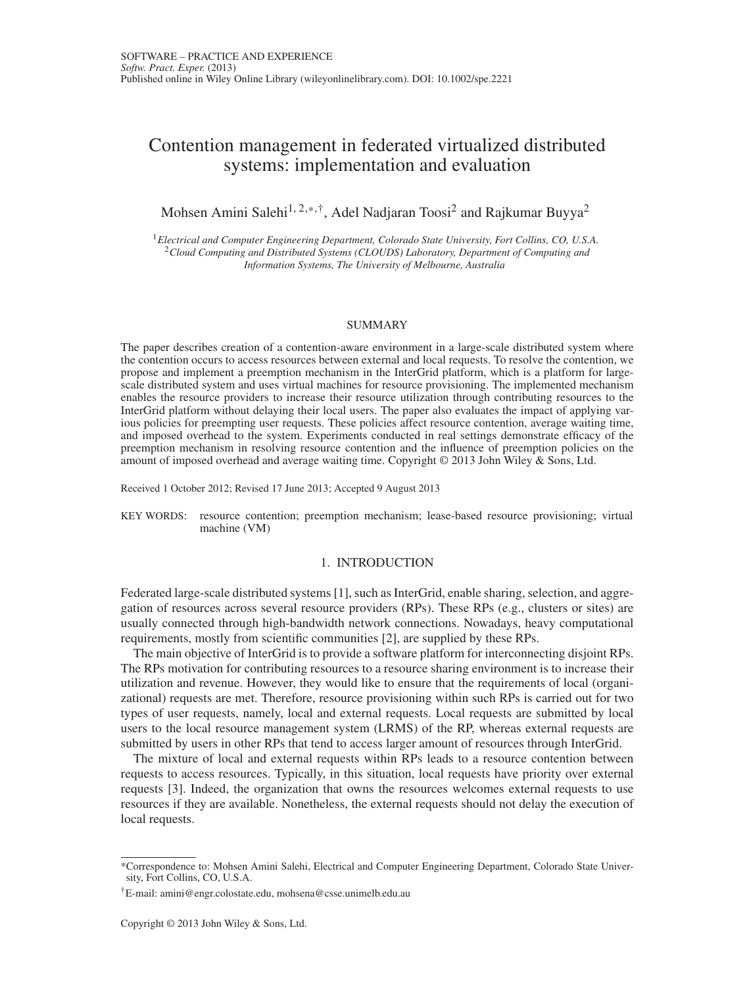# Contention management in federated virtualized distributed systems: implementation and evaluation

Mohsen Amini Salehi<sup>1, 2,\*,†</sup>, Adel Nadjaran Toosi<sup>2</sup> and Rajkumar Buyya<sup>2</sup>

<sup>1</sup>*Electrical and Computer Engineering Department, Colorado State University, Fort Collins, CO, U.S.A.* <sup>2</sup>*Cloud Computing and Distributed Systems (CLOUDS) Laboratory, Department of Computing and Information Systems, The University of Melbourne, Australia*

#### SUMMARY

The paper describes creation of a contention-aware environment in a large-scale distributed system where the contention occurs to access resources between external and local requests. To resolve the contention, we propose and implement a preemption mechanism in the InterGrid platform, which is a platform for largescale distributed system and uses virtual machines for resource provisioning. The implemented mechanism enables the resource providers to increase their resource utilization through contributing resources to the InterGrid platform without delaying their local users. The paper also evaluates the impact of applying various policies for preempting user requests. These policies affect resource contention, average waiting time, and imposed overhead to the system. Experiments conducted in real settings demonstrate efficacy of the preemption mechanism in resolving resource contention and the influence of preemption policies on the amount of imposed overhead and average waiting time. Copyright © 2013 John Wiley & Sons, Ltd.

Received 1 October 2012; Revised 17 June 2013; Accepted 9 August 2013

KEY WORDS: resource contention; preemption mechanism; lease-based resource provisioning; virtual machine (VM)

# 1. INTRODUCTION

Federated large-scale distributed systems [1], such as InterGrid, enable sharing, selection, and aggregation of resources across several resource providers (RPs). These RPs (e.g., clusters or sites) are usually connected through high-bandwidth network connections. Nowadays, heavy computational requirements, mostly from scientific communities [2], are supplied by these RPs.

The main objective of InterGrid is to provide a software platform for interconnecting disjoint RPs. The RPs motivation for contributing resources to a resource sharing environment is to increase their utilization and revenue. However, they would like to ensure that the requirements of local (organizational) requests are met. Therefore, resource provisioning within such RPs is carried out for two types of user requests, namely, local and external requests. Local requests are submitted by local users to the local resource management system (LRMS) of the RP, whereas external requests are submitted by users in other RPs that tend to access larger amount of resources through InterGrid.

The mixture of local and external requests within RPs leads to a resource contention between requests to access resources. Typically, in this situation, local requests have priority over external requests [3]. Indeed, the organization that owns the resources welcomes external requests to use resources if they are available. Nonetheless, the external requests should not delay the execution of local requests.

<sup>\*</sup>Correspondence to: Mohsen Amini Salehi, Electrical and Computer Engineering Department, Colorado State University, Fort Collins, CO, U.S.A.

<sup>†</sup>E-mail: amini@engr.colostate.edu, mohsena@csse.unimelb.edu.au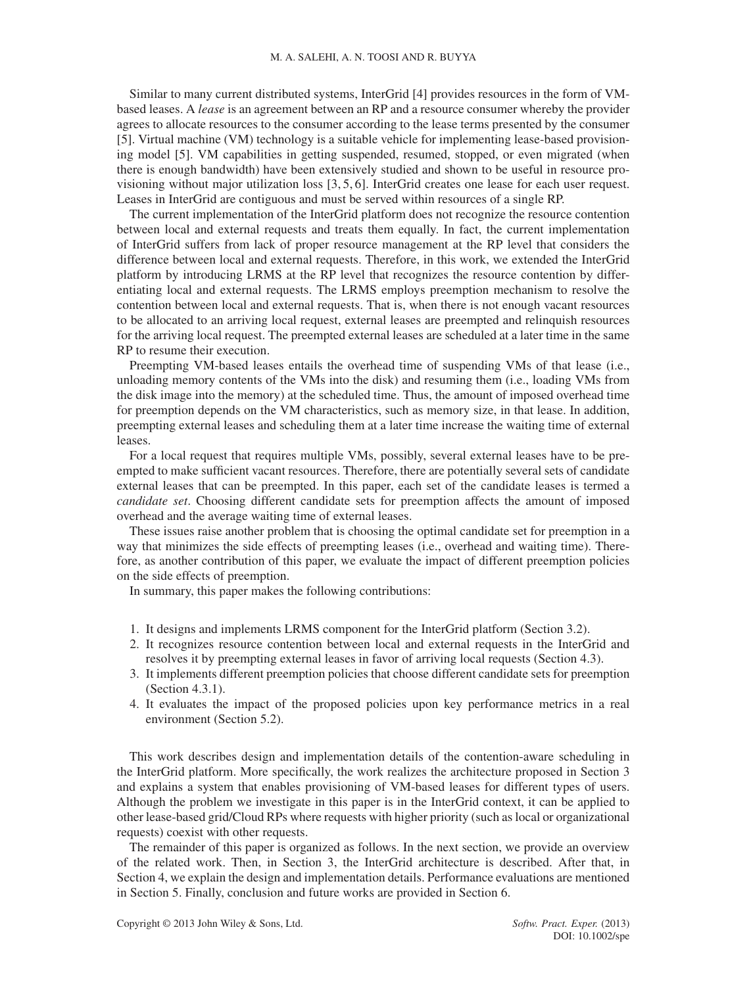Similar to many current distributed systems, InterGrid [4] provides resources in the form of VMbased leases. A *lease* is an agreement between an RP and a resource consumer whereby the provider agrees to allocate resources to the consumer according to the lease terms presented by the consumer [5]. Virtual machine (VM) technology is a suitable vehicle for implementing lease-based provisioning model [5]. VM capabilities in getting suspended, resumed, stopped, or even migrated (when there is enough bandwidth) have been extensively studied and shown to be useful in resource provisioning without major utilization loss [3, 5, 6]. InterGrid creates one lease for each user request. Leases in InterGrid are contiguous and must be served within resources of a single RP.

The current implementation of the InterGrid platform does not recognize the resource contention between local and external requests and treats them equally. In fact, the current implementation of InterGrid suffers from lack of proper resource management at the RP level that considers the difference between local and external requests. Therefore, in this work, we extended the InterGrid platform by introducing LRMS at the RP level that recognizes the resource contention by differentiating local and external requests. The LRMS employs preemption mechanism to resolve the contention between local and external requests. That is, when there is not enough vacant resources to be allocated to an arriving local request, external leases are preempted and relinquish resources for the arriving local request. The preempted external leases are scheduled at a later time in the same RP to resume their execution.

Preempting VM-based leases entails the overhead time of suspending VMs of that lease (i.e., unloading memory contents of the VMs into the disk) and resuming them (i.e., loading VMs from the disk image into the memory) at the scheduled time. Thus, the amount of imposed overhead time for preemption depends on the VM characteristics, such as memory size, in that lease. In addition, preempting external leases and scheduling them at a later time increase the waiting time of external leases.

For a local request that requires multiple VMs, possibly, several external leases have to be preempted to make sufficient vacant resources. Therefore, there are potentially several sets of candidate external leases that can be preempted. In this paper, each set of the candidate leases is termed a *candidate set*. Choosing different candidate sets for preemption affects the amount of imposed overhead and the average waiting time of external leases.

These issues raise another problem that is choosing the optimal candidate set for preemption in a way that minimizes the side effects of preempting leases (i.e., overhead and waiting time). Therefore, as another contribution of this paper, we evaluate the impact of different preemption policies on the side effects of preemption.

In summary, this paper makes the following contributions:

- 1. It designs and implements LRMS component for the InterGrid platform (Section 3.2).
- 2. It recognizes resource contention between local and external requests in the InterGrid and resolves it by preempting external leases in favor of arriving local requests (Section 4.3).
- 3. It implements different preemption policies that choose different candidate sets for preemption (Section 4.3.1).
- 4. It evaluates the impact of the proposed policies upon key performance metrics in a real environment (Section 5.2).

This work describes design and implementation details of the contention-aware scheduling in the InterGrid platform. More specifically, the work realizes the architecture proposed in Section 3 and explains a system that enables provisioning of VM-based leases for different types of users. Although the problem we investigate in this paper is in the InterGrid context, it can be applied to other lease-based grid/Cloud RPs where requests with higher priority (such as local or organizational requests) coexist with other requests.

The remainder of this paper is organized as follows. In the next section, we provide an overview of the related work. Then, in Section 3, the InterGrid architecture is described. After that, in Section 4, we explain the design and implementation details. Performance evaluations are mentioned in Section 5. Finally, conclusion and future works are provided in Section 6.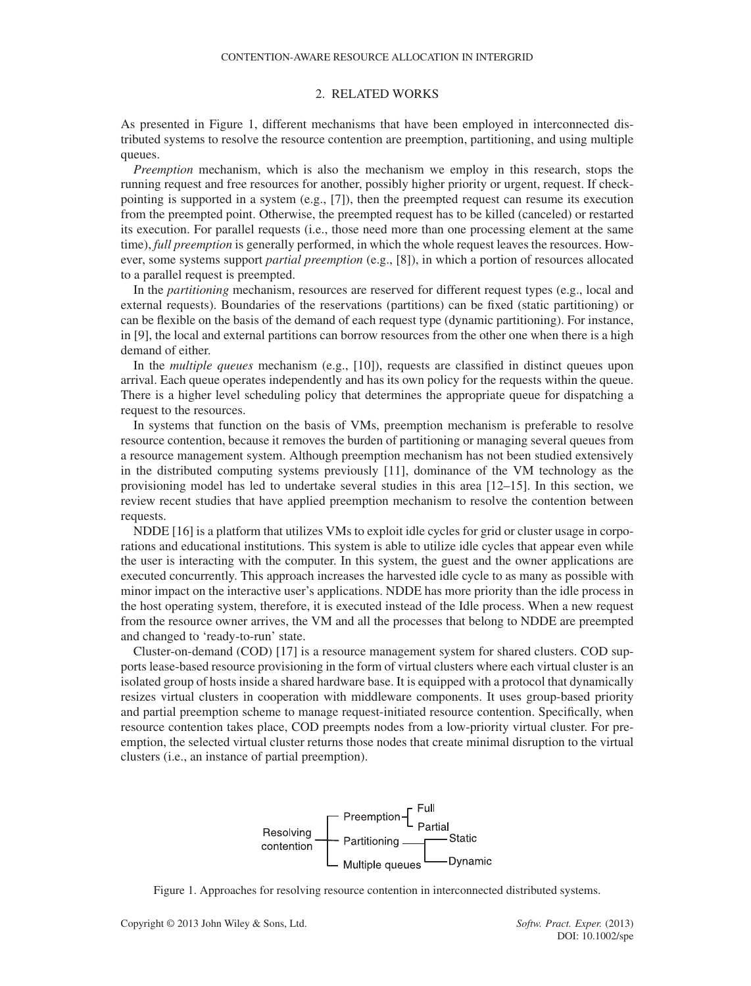# 2. RELATED WORKS

As presented in Figure 1, different mechanisms that have been employed in interconnected distributed systems to resolve the resource contention are preemption, partitioning, and using multiple queues.

*Preemption* mechanism, which is also the mechanism we employ in this research, stops the running request and free resources for another, possibly higher priority or urgent, request. If checkpointing is supported in a system (e.g., [7]), then the preempted request can resume its execution from the preempted point. Otherwise, the preempted request has to be killed (canceled) or restarted its execution. For parallel requests (i.e., those need more than one processing element at the same time), *full preemption* is generally performed, in which the whole request leaves the resources. However, some systems support *partial preemption* (e.g., [8]), in which a portion of resources allocated to a parallel request is preempted.

In the *partitioning* mechanism, resources are reserved for different request types (e.g., local and external requests). Boundaries of the reservations (partitions) can be fixed (static partitioning) or can be flexible on the basis of the demand of each request type (dynamic partitioning). For instance, in [9], the local and external partitions can borrow resources from the other one when there is a high demand of either.

In the *multiple queues* mechanism (e.g., [10]), requests are classified in distinct queues upon arrival. Each queue operates independently and has its own policy for the requests within the queue. There is a higher level scheduling policy that determines the appropriate queue for dispatching a request to the resources.

In systems that function on the basis of VMs, preemption mechanism is preferable to resolve resource contention, because it removes the burden of partitioning or managing several queues from a resource management system. Although preemption mechanism has not been studied extensively in the distributed computing systems previously [11], dominance of the VM technology as the provisioning model has led to undertake several studies in this area [12–15]. In this section, we review recent studies that have applied preemption mechanism to resolve the contention between requests.

NDDE [16] is a platform that utilizes VMs to exploit idle cycles for grid or cluster usage in corporations and educational institutions. This system is able to utilize idle cycles that appear even while the user is interacting with the computer. In this system, the guest and the owner applications are executed concurrently. This approach increases the harvested idle cycle to as many as possible with minor impact on the interactive user's applications. NDDE has more priority than the idle process in the host operating system, therefore, it is executed instead of the Idle process. When a new request from the resource owner arrives, the VM and all the processes that belong to NDDE are preempted and changed to 'ready-to-run' state.

Cluster-on-demand (COD) [17] is a resource management system for shared clusters. COD supports lease-based resource provisioning in the form of virtual clusters where each virtual cluster is an isolated group of hosts inside a shared hardware base. It is equipped with a protocol that dynamically resizes virtual clusters in cooperation with middleware components. It uses group-based priority and partial preemption scheme to manage request-initiated resource contention. Specifically, when resource contention takes place, COD preempts nodes from a low-priority virtual cluster. For preemption, the selected virtual cluster returns those nodes that create minimal disruption to the virtual clusters (i.e., an instance of partial preemption).



Figure 1. Approaches for resolving resource contention in interconnected distributed systems.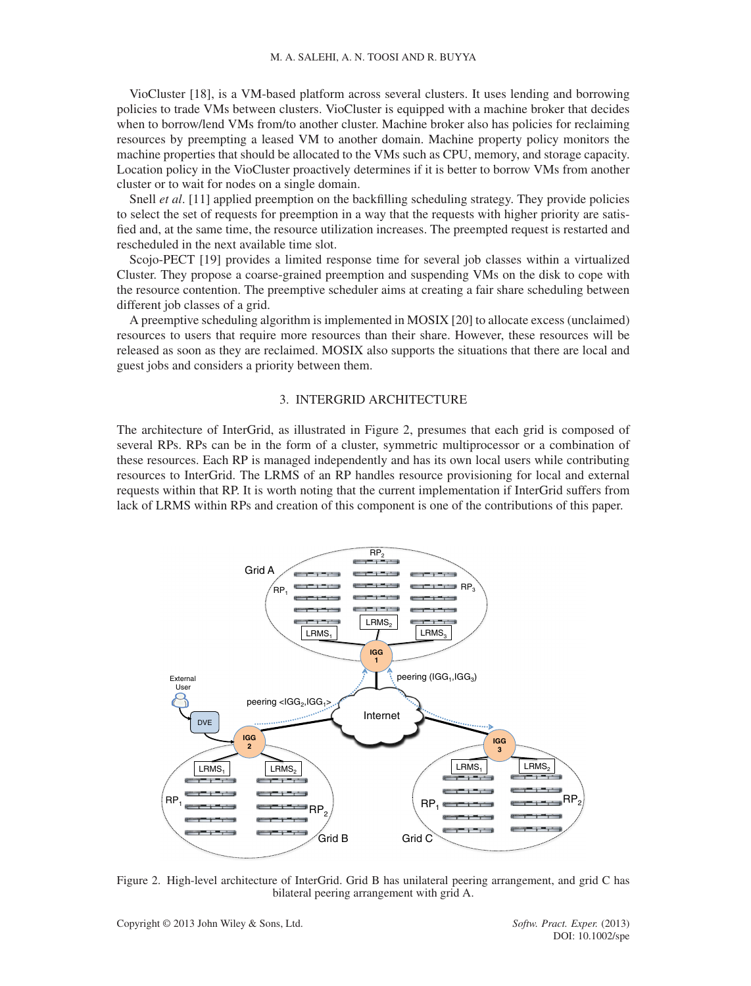VioCluster [18], is a VM-based platform across several clusters. It uses lending and borrowing policies to trade VMs between clusters. VioCluster is equipped with a machine broker that decides when to borrow/lend VMs from/to another cluster. Machine broker also has policies for reclaiming resources by preempting a leased VM to another domain. Machine property policy monitors the machine properties that should be allocated to the VMs such as CPU, memory, and storage capacity. Location policy in the VioCluster proactively determines if it is better to borrow VMs from another cluster or to wait for nodes on a single domain.

Snell *et al*. [11] applied preemption on the backfilling scheduling strategy. They provide policies to select the set of requests for preemption in a way that the requests with higher priority are satisfied and, at the same time, the resource utilization increases. The preempted request is restarted and rescheduled in the next available time slot.

Scojo-PECT [19] provides a limited response time for several job classes within a virtualized Cluster. They propose a coarse-grained preemption and suspending VMs on the disk to cope with the resource contention. The preemptive scheduler aims at creating a fair share scheduling between different job classes of a grid.

A preemptive scheduling algorithm is implemented in MOSIX [20] to allocate excess (unclaimed) resources to users that require more resources than their share. However, these resources will be released as soon as they are reclaimed. MOSIX also supports the situations that there are local and guest jobs and considers a priority between them.

## 3. INTERGRID ARCHITECTURE

The architecture of InterGrid, as illustrated in Figure 2, presumes that each grid is composed of several RPs. RPs can be in the form of a cluster, symmetric multiprocessor or a combination of these resources. Each RP is managed independently and has its own local users while contributing resources to InterGrid. The LRMS of an RP handles resource provisioning for local and external requests within that RP. It is worth noting that the current implementation if InterGrid suffers from lack of LRMS within RPs and creation of this component is one of the contributions of this paper.



Figure 2. High-level architecture of InterGrid. Grid B has unilateral peering arrangement, and grid C has bilateral peering arrangement with grid A.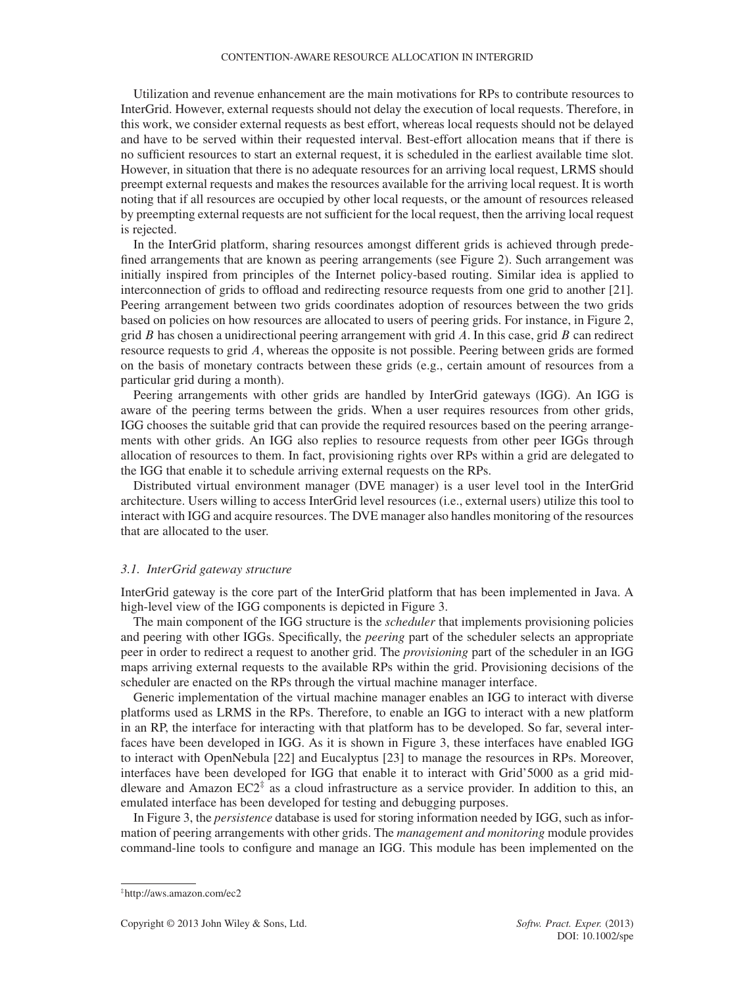Utilization and revenue enhancement are the main motivations for RPs to contribute resources to InterGrid. However, external requests should not delay the execution of local requests. Therefore, in this work, we consider external requests as best effort, whereas local requests should not be delayed and have to be served within their requested interval. Best-effort allocation means that if there is no sufficient resources to start an external request, it is scheduled in the earliest available time slot. However, in situation that there is no adequate resources for an arriving local request, LRMS should preempt external requests and makes the resources available for the arriving local request. It is worth noting that if all resources are occupied by other local requests, or the amount of resources released by preempting external requests are not sufficient for the local request, then the arriving local request is rejected.

In the InterGrid platform, sharing resources amongst different grids is achieved through predefined arrangements that are known as peering arrangements (see Figure 2). Such arrangement was initially inspired from principles of the Internet policy-based routing. Similar idea is applied to interconnection of grids to offload and redirecting resource requests from one grid to another [21]. Peering arrangement between two grids coordinates adoption of resources between the two grids based on policies on how resources are allocated to users of peering grids. For instance, in Figure 2, grid  $B$  has chosen a unidirectional peering arrangement with grid  $A$ . In this case, grid  $B$  can redirect resource requests to grid A, whereas the opposite is not possible. Peering between grids are formed on the basis of monetary contracts between these grids (e.g., certain amount of resources from a particular grid during a month).

Peering arrangements with other grids are handled by InterGrid gateways (IGG). An IGG is aware of the peering terms between the grids. When a user requires resources from other grids, IGG chooses the suitable grid that can provide the required resources based on the peering arrangements with other grids. An IGG also replies to resource requests from other peer IGGs through allocation of resources to them. In fact, provisioning rights over RPs within a grid are delegated to the IGG that enable it to schedule arriving external requests on the RPs.

Distributed virtual environment manager (DVE manager) is a user level tool in the InterGrid architecture. Users willing to access InterGrid level resources (i.e., external users) utilize this tool to interact with IGG and acquire resources. The DVE manager also handles monitoring of the resources that are allocated to the user.

# *3.1. InterGrid gateway structure*

InterGrid gateway is the core part of the InterGrid platform that has been implemented in Java. A high-level view of the IGG components is depicted in Figure 3.

The main component of the IGG structure is the *scheduler* that implements provisioning policies and peering with other IGGs. Specifically, the *peering* part of the scheduler selects an appropriate peer in order to redirect a request to another grid. The *provisioning* part of the scheduler in an IGG maps arriving external requests to the available RPs within the grid. Provisioning decisions of the scheduler are enacted on the RPs through the virtual machine manager interface.

Generic implementation of the virtual machine manager enables an IGG to interact with diverse platforms used as LRMS in the RPs. Therefore, to enable an IGG to interact with a new platform in an RP, the interface for interacting with that platform has to be developed. So far, several interfaces have been developed in IGG. As it is shown in Figure 3, these interfaces have enabled IGG to interact with OpenNebula [22] and Eucalyptus [23] to manage the resources in RPs. Moreover, interfaces have been developed for IGG that enable it to interact with Grid'5000 as a grid middleware and Amazon  $EC2^{\ddagger}$  as a cloud infrastructure as a service provider. In addition to this, an emulated interface has been developed for testing and debugging purposes.

In Figure 3, the *persistence* database is used for storing information needed by IGG, such as information of peering arrangements with other grids. The *management and monitoring* module provides command-line tools to configure and manage an IGG. This module has been implemented on the

<sup>‡</sup> http://aws.amazon.com/ec2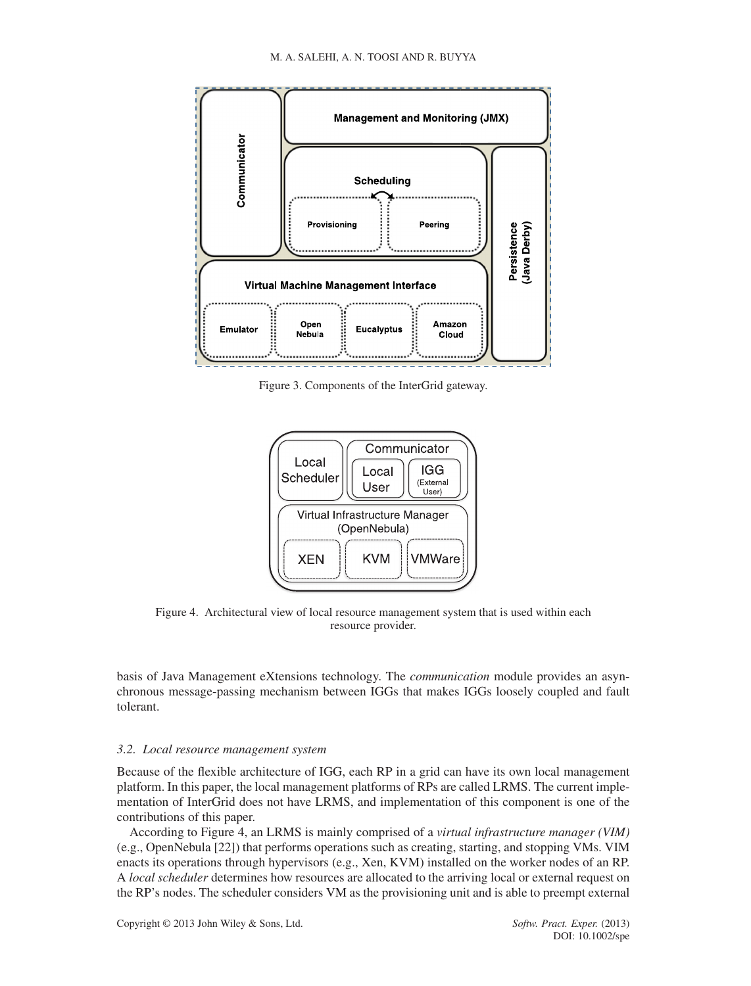

Figure 3. Components of the InterGrid gateway.



Figure 4. Architectural view of local resource management system that is used within each resource provider.

basis of Java Management eXtensions technology. The *communication* module provides an asynchronous message-passing mechanism between IGGs that makes IGGs loosely coupled and fault tolerant.

### *3.2. Local resource management system*

Because of the flexible architecture of IGG, each RP in a grid can have its own local management platform. In this paper, the local management platforms of RPs are called LRMS. The current implementation of InterGrid does not have LRMS, and implementation of this component is one of the contributions of this paper.

According to Figure 4, an LRMS is mainly comprised of a *virtual infrastructure manager (VIM)* (e.g., OpenNebula [22]) that performs operations such as creating, starting, and stopping VMs. VIM enacts its operations through hypervisors (e.g., Xen, KVM) installed on the worker nodes of an RP. A *local scheduler* determines how resources are allocated to the arriving local or external request on the RP's nodes. The scheduler considers VM as the provisioning unit and is able to preempt external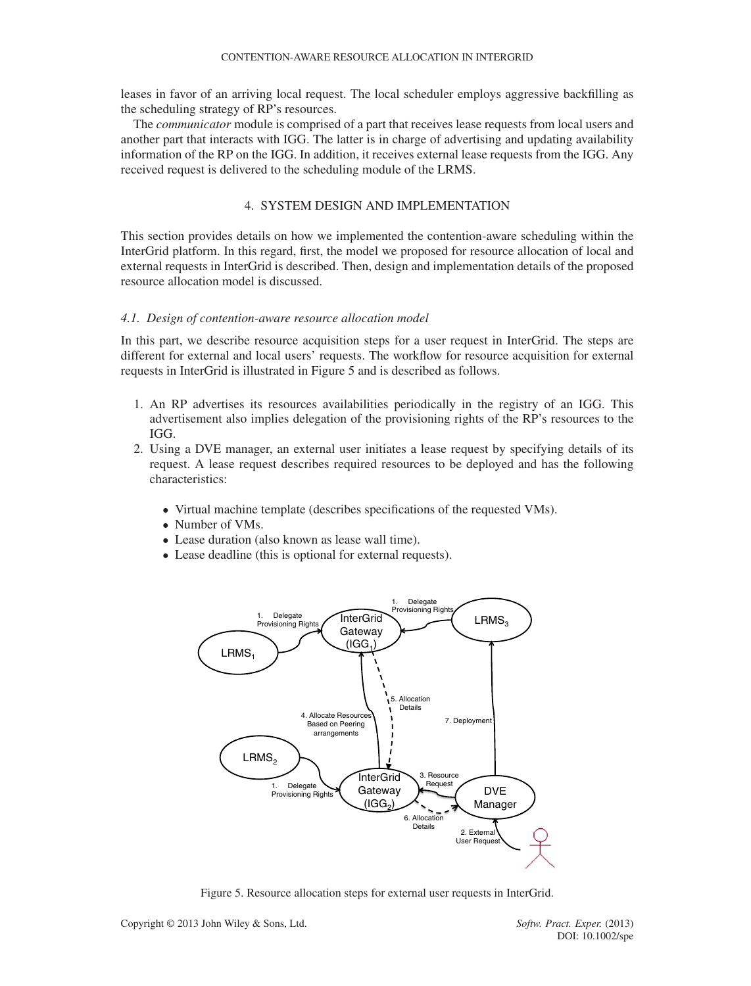## CONTENTION-AWARE RESOURCE ALLOCATION IN INTERGRID

leases in favor of an arriving local request. The local scheduler employs aggressive backfilling as the scheduling strategy of RP's resources.

The *communicator* module is comprised of a part that receives lease requests from local users and another part that interacts with IGG. The latter is in charge of advertising and updating availability information of the RP on the IGG. In addition, it receives external lease requests from the IGG. Any received request is delivered to the scheduling module of the LRMS.

# 4. SYSTEM DESIGN AND IMPLEMENTATION

This section provides details on how we implemented the contention-aware scheduling within the InterGrid platform. In this regard, first, the model we proposed for resource allocation of local and external requests in InterGrid is described. Then, design and implementation details of the proposed resource allocation model is discussed.

# *4.1. Design of contention-aware resource allocation model*

In this part, we describe resource acquisition steps for a user request in InterGrid. The steps are different for external and local users' requests. The workflow for resource acquisition for external requests in InterGrid is illustrated in Figure 5 and is described as follows.

- 1. An RP advertises its resources availabilities periodically in the registry of an IGG. This advertisement also implies delegation of the provisioning rights of the RP's resources to the IGG.
- 2. Using a DVE manager, an external user initiates a lease request by specifying details of its request. A lease request describes required resources to be deployed and has the following characteristics:
	- Virtual machine template (describes specifications of the requested VMs).
	- Number of VMs.
	- Lease duration (also known as lease wall time).
	- Lease deadline (this is optional for external requests).



Figure 5. Resource allocation steps for external user requests in InterGrid.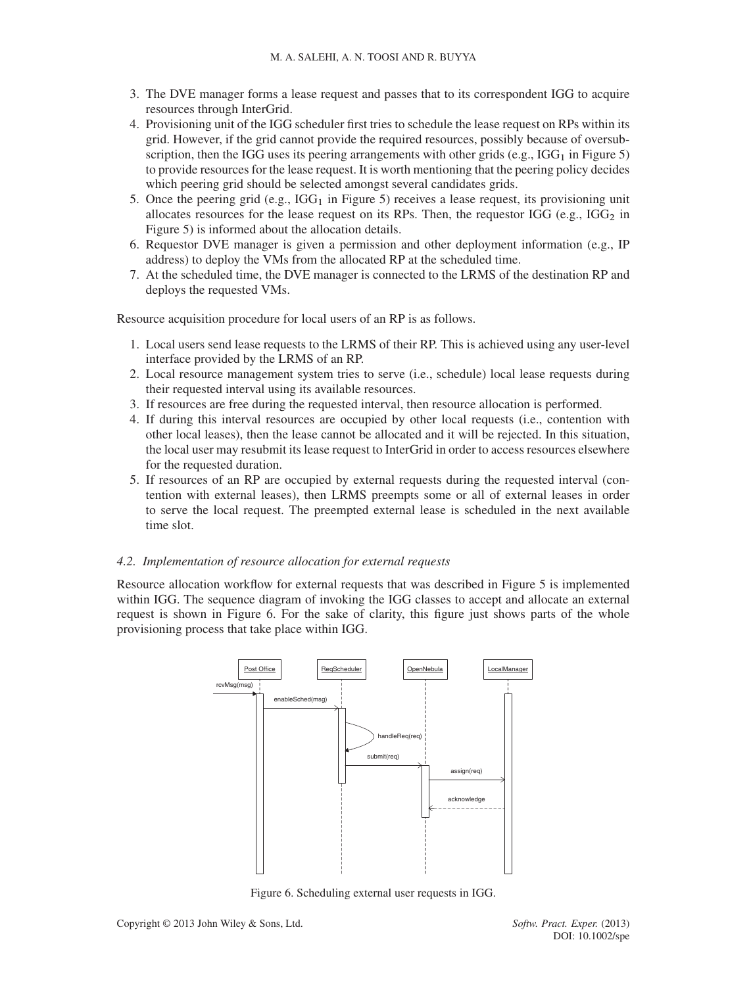- 3. The DVE manager forms a lease request and passes that to its correspondent IGG to acquire resources through InterGrid.
- 4. Provisioning unit of the IGG scheduler first tries to schedule the lease request on RPs within its grid. However, if the grid cannot provide the required resources, possibly because of oversubscription, then the IGG uses its peering arrangements with other grids (e.g.,  $IGG<sub>1</sub>$  in Figure 5) to provide resources for the lease request. It is worth mentioning that the peering policy decides which peering grid should be selected amongst several candidates grids.
- 5. Once the peering grid (e.g.,  $IGG<sub>1</sub>$  in Figure 5) receives a lease request, its provisioning unit allocates resources for the lease request on its RPs. Then, the requestor IGG (e.g.,  $IGG<sub>2</sub>$  in Figure 5) is informed about the allocation details.
- 6. Requestor DVE manager is given a permission and other deployment information (e.g., IP address) to deploy the VMs from the allocated RP at the scheduled time.
- 7. At the scheduled time, the DVE manager is connected to the LRMS of the destination RP and deploys the requested VMs.

Resource acquisition procedure for local users of an RP is as follows.

- 1. Local users send lease requests to the LRMS of their RP. This is achieved using any user-level interface provided by the LRMS of an RP.
- 2. Local resource management system tries to serve (i.e., schedule) local lease requests during their requested interval using its available resources.
- 3. If resources are free during the requested interval, then resource allocation is performed.
- 4. If during this interval resources are occupied by other local requests (i.e., contention with other local leases), then the lease cannot be allocated and it will be rejected. In this situation, the local user may resubmit its lease request to InterGrid in order to access resources elsewhere for the requested duration.
- 5. If resources of an RP are occupied by external requests during the requested interval (contention with external leases), then LRMS preempts some or all of external leases in order to serve the local request. The preempted external lease is scheduled in the next available time slot.

# *4.2. Implementation of resource allocation for external requests*

Resource allocation workflow for external requests that was described in Figure 5 is implemented within IGG. The sequence diagram of invoking the IGG classes to accept and allocate an external request is shown in Figure 6. For the sake of clarity, this figure just shows parts of the whole provisioning process that take place within IGG.



Figure 6. Scheduling external user requests in IGG.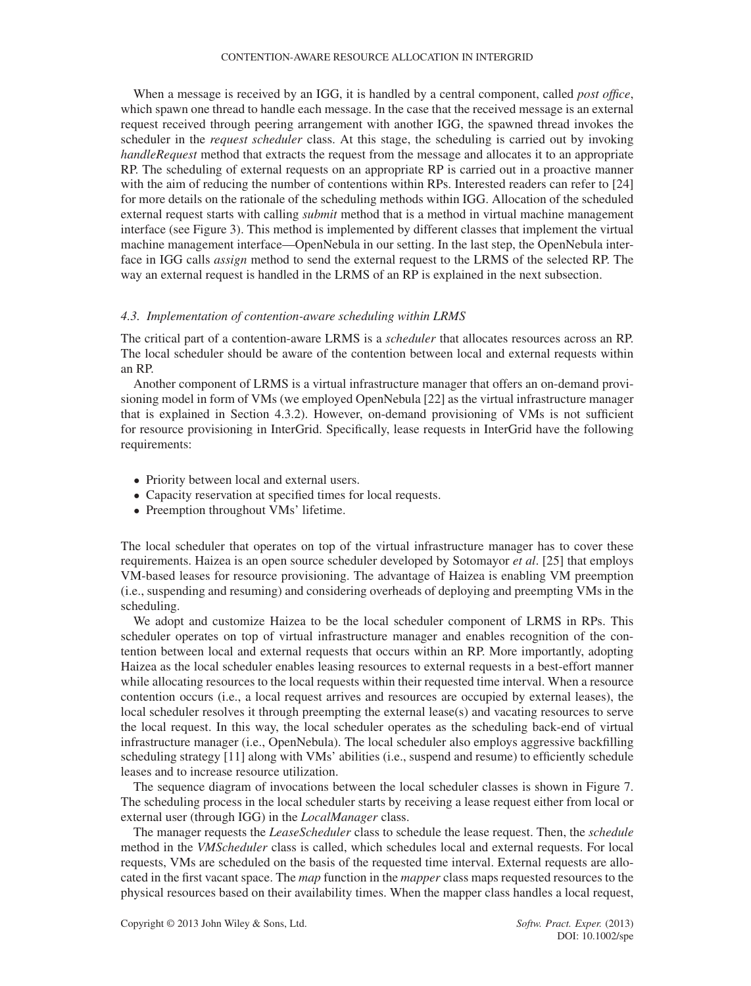## CONTENTION-AWARE RESOURCE ALLOCATION IN INTERGRID

When a message is received by an IGG, it is handled by a central component, called *post office*, which spawn one thread to handle each message. In the case that the received message is an external request received through peering arrangement with another IGG, the spawned thread invokes the scheduler in the *request scheduler* class. At this stage, the scheduling is carried out by invoking *handleRequest* method that extracts the request from the message and allocates it to an appropriate RP. The scheduling of external requests on an appropriate RP is carried out in a proactive manner with the aim of reducing the number of contentions within RPs. Interested readers can refer to [24] for more details on the rationale of the scheduling methods within IGG. Allocation of the scheduled external request starts with calling *submit* method that is a method in virtual machine management interface (see Figure 3). This method is implemented by different classes that implement the virtual machine management interface—OpenNebula in our setting. In the last step, the OpenNebula interface in IGG calls *assign* method to send the external request to the LRMS of the selected RP. The way an external request is handled in the LRMS of an RP is explained in the next subsection.

## *4.3. Implementation of contention-aware scheduling within LRMS*

The critical part of a contention-aware LRMS is a *scheduler* that allocates resources across an RP. The local scheduler should be aware of the contention between local and external requests within an RP.

Another component of LRMS is a virtual infrastructure manager that offers an on-demand provisioning model in form of VMs (we employed OpenNebula [22] as the virtual infrastructure manager that is explained in Section 4.3.2). However, on-demand provisioning of VMs is not sufficient for resource provisioning in InterGrid. Specifically, lease requests in InterGrid have the following requirements:

- Priority between local and external users.
- Capacity reservation at specified times for local requests.
- Preemption throughout VMs' lifetime.

The local scheduler that operates on top of the virtual infrastructure manager has to cover these requirements. Haizea is an open source scheduler developed by Sotomayor *et al*. [25] that employs VM-based leases for resource provisioning. The advantage of Haizea is enabling VM preemption (i.e., suspending and resuming) and considering overheads of deploying and preempting VMs in the scheduling.

We adopt and customize Haizea to be the local scheduler component of LRMS in RPs. This scheduler operates on top of virtual infrastructure manager and enables recognition of the contention between local and external requests that occurs within an RP. More importantly, adopting Haizea as the local scheduler enables leasing resources to external requests in a best-effort manner while allocating resources to the local requests within their requested time interval. When a resource contention occurs (i.e., a local request arrives and resources are occupied by external leases), the local scheduler resolves it through preempting the external lease(s) and vacating resources to serve the local request. In this way, the local scheduler operates as the scheduling back-end of virtual infrastructure manager (i.e., OpenNebula). The local scheduler also employs aggressive backfilling scheduling strategy [11] along with VMs' abilities (i.e., suspend and resume) to efficiently schedule leases and to increase resource utilization.

The sequence diagram of invocations between the local scheduler classes is shown in Figure 7. The scheduling process in the local scheduler starts by receiving a lease request either from local or external user (through IGG) in the *LocalManager* class.

The manager requests the *LeaseScheduler* class to schedule the lease request. Then, the *schedule* method in the *VMScheduler* class is called, which schedules local and external requests. For local requests, VMs are scheduled on the basis of the requested time interval. External requests are allocated in the first vacant space. The *map* function in the *mapper* class maps requested resources to the physical resources based on their availability times. When the mapper class handles a local request,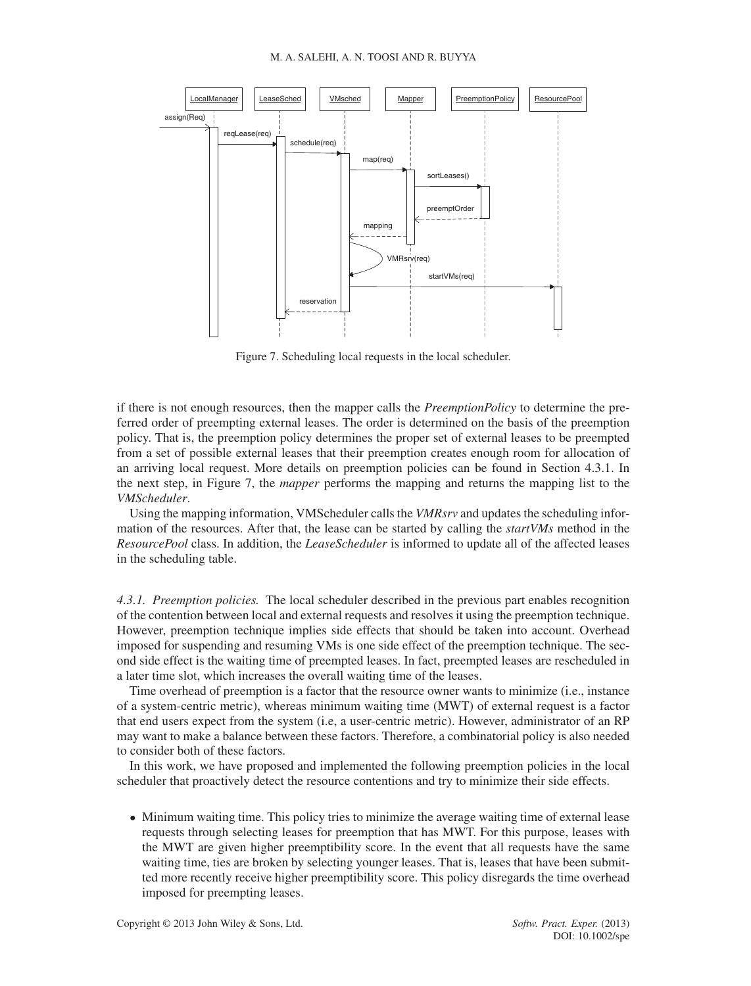

Figure 7. Scheduling local requests in the local scheduler.

if there is not enough resources, then the mapper calls the *PreemptionPolicy* to determine the preferred order of preempting external leases. The order is determined on the basis of the preemption policy. That is, the preemption policy determines the proper set of external leases to be preempted from a set of possible external leases that their preemption creates enough room for allocation of an arriving local request. More details on preemption policies can be found in Section 4.3.1. In the next step, in Figure 7, the *mapper* performs the mapping and returns the mapping list to the *VMScheduler*.

Using the mapping information, VMScheduler calls the *VMRsrv* and updates the scheduling information of the resources. After that, the lease can be started by calling the *startVMs* method in the *ResourcePool* class. In addition, the *LeaseScheduler* is informed to update all of the affected leases in the scheduling table.

*4.3.1. Preemption policies.* The local scheduler described in the previous part enables recognition of the contention between local and external requests and resolves it using the preemption technique. However, preemption technique implies side effects that should be taken into account. Overhead imposed for suspending and resuming VMs is one side effect of the preemption technique. The second side effect is the waiting time of preempted leases. In fact, preempted leases are rescheduled in a later time slot, which increases the overall waiting time of the leases.

Time overhead of preemption is a factor that the resource owner wants to minimize (i.e., instance of a system-centric metric), whereas minimum waiting time (MWT) of external request is a factor that end users expect from the system (i.e, a user-centric metric). However, administrator of an RP may want to make a balance between these factors. Therefore, a combinatorial policy is also needed to consider both of these factors.

In this work, we have proposed and implemented the following preemption policies in the local scheduler that proactively detect the resource contentions and try to minimize their side effects.

- Minimum waiting time. This policy tries to minimize the average waiting time of external lease requests through selecting leases for preemption that has MWT. For this purpose, leases with the MWT are given higher preemptibility score. In the event that all requests have the same waiting time, ties are broken by selecting younger leases. That is, leases that have been submitted more recently receive higher preemptibility score. This policy disregards the time overhead imposed for preempting leases.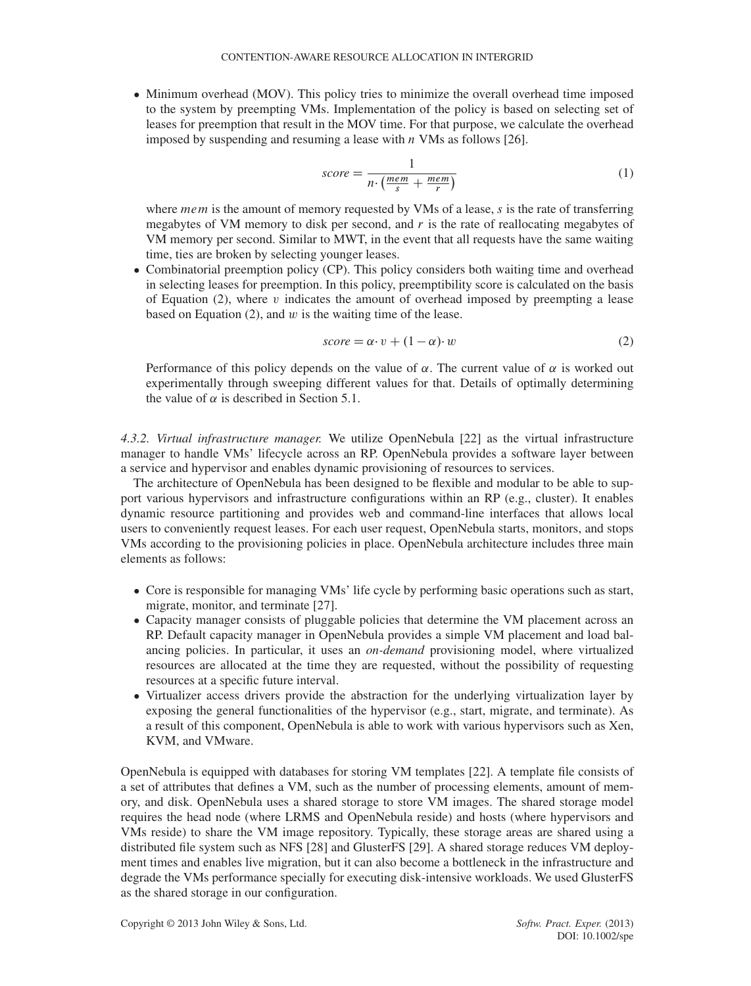- Minimum overhead (MOV). This policy tries to minimize the overall overhead time imposed to the system by preempting VMs. Implementation of the policy is based on selecting set of leases for preemption that result in the MOV time. For that purpose, we calculate the overhead imposed by suspending and resuming a lease with  $n$  VMs as follows [26].

$$
score = \frac{1}{n \cdot \left(\frac{mem}{s} + \frac{mem}{r}\right)}\tag{1}
$$

where *mem* is the amount of memory requested by VMs of a lease, s is the rate of transferring megabytes of VM memory to disk per second, and  $r$  is the rate of reallocating megabytes of VM memory per second. Similar to MWT, in the event that all requests have the same waiting time, ties are broken by selecting younger leases.

• Combinatorial preemption policy (CP). This policy considers both waiting time and overhead in selecting leases for preemption. In this policy, preemptibility score is calculated on the basis of Equation (2), where  $v$  indicates the amount of overhead imposed by preempting a lease based on Equation (2), and  $w$  is the waiting time of the lease.

$$
score = \alpha \cdot v + (1 - \alpha) \cdot w \tag{2}
$$

Performance of this policy depends on the value of  $\alpha$ . The current value of  $\alpha$  is worked out experimentally through sweeping different values for that. Details of optimally determining the value of  $\alpha$  is described in Section 5.1.

*4.3.2. Virtual infrastructure manager.* We utilize OpenNebula [22] as the virtual infrastructure manager to handle VMs' lifecycle across an RP. OpenNebula provides a software layer between a service and hypervisor and enables dynamic provisioning of resources to services.

The architecture of OpenNebula has been designed to be flexible and modular to be able to support various hypervisors and infrastructure configurations within an RP (e.g., cluster). It enables dynamic resource partitioning and provides web and command-line interfaces that allows local users to conveniently request leases. For each user request, OpenNebula starts, monitors, and stops VMs according to the provisioning policies in place. OpenNebula architecture includes three main elements as follows:

- Core is responsible for managing VMs' life cycle by performing basic operations such as start, migrate, monitor, and terminate [27].
- Capacity manager consists of pluggable policies that determine the VM placement across an RP. Default capacity manager in OpenNebula provides a simple VM placement and load balancing policies. In particular, it uses an *on-demand* provisioning model, where virtualized resources are allocated at the time they are requested, without the possibility of requesting resources at a specific future interval.
- Virtualizer access drivers provide the abstraction for the underlying virtualization layer by exposing the general functionalities of the hypervisor (e.g., start, migrate, and terminate). As a result of this component, OpenNebula is able to work with various hypervisors such as Xen, KVM, and VMware.

OpenNebula is equipped with databases for storing VM templates [22]. A template file consists of a set of attributes that defines a VM, such as the number of processing elements, amount of memory, and disk. OpenNebula uses a shared storage to store VM images. The shared storage model requires the head node (where LRMS and OpenNebula reside) and hosts (where hypervisors and VMs reside) to share the VM image repository. Typically, these storage areas are shared using a distributed file system such as NFS [28] and GlusterFS [29]. A shared storage reduces VM deployment times and enables live migration, but it can also become a bottleneck in the infrastructure and degrade the VMs performance specially for executing disk-intensive workloads. We used GlusterFS as the shared storage in our configuration.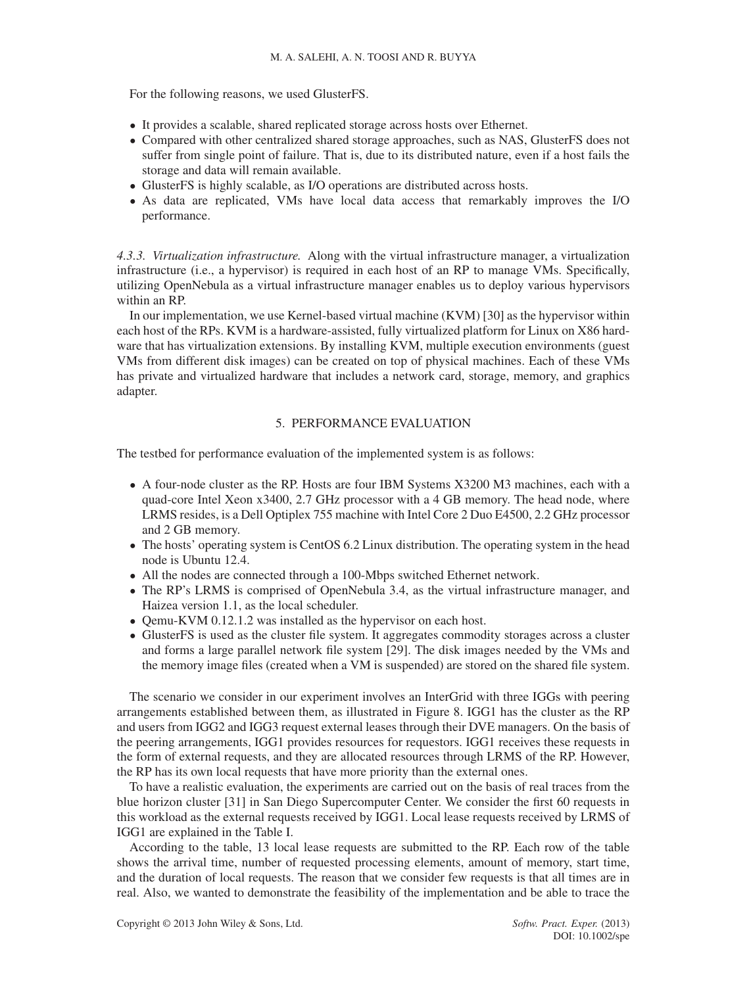For the following reasons, we used GlusterFS.

- It provides a scalable, shared replicated storage across hosts over Ethernet.
- Compared with other centralized shared storage approaches, such as NAS, GlusterFS does not suffer from single point of failure. That is, due to its distributed nature, even if a host fails the storage and data will remain available.
- GlusterFS is highly scalable, as I/O operations are distributed across hosts.
- As data are replicated, VMs have local data access that remarkably improves the I/O performance.

*4.3.3. Virtualization infrastructure.* Along with the virtual infrastructure manager, a virtualization infrastructure (i.e., a hypervisor) is required in each host of an RP to manage VMs. Specifically, utilizing OpenNebula as a virtual infrastructure manager enables us to deploy various hypervisors within an RP.

In our implementation, we use Kernel-based virtual machine (KVM) [30] as the hypervisor within each host of the RPs. KVM is a hardware-assisted, fully virtualized platform for Linux on X86 hardware that has virtualization extensions. By installing KVM, multiple execution environments (guest VMs from different disk images) can be created on top of physical machines. Each of these VMs has private and virtualized hardware that includes a network card, storage, memory, and graphics adapter.

# 5. PERFORMANCE EVALUATION

The testbed for performance evaluation of the implemented system is as follows:

- A four-node cluster as the RP. Hosts are four IBM Systems X3200 M3 machines, each with a quad-core Intel Xeon x3400, 2.7 GHz processor with a 4 GB memory. The head node, where LRMS resides, is a Dell Optiplex 755 machine with Intel Core 2 Duo E4500, 2.2 GHz processor and 2 GB memory.
- The hosts' operating system is CentOS 6.2 Linux distribution. The operating system in the head node is Ubuntu 12.4.
- All the nodes are connected through a 100-Mbps switched Ethernet network.
- The RP's LRMS is comprised of OpenNebula 3.4, as the virtual infrastructure manager, and Haizea version 1.1, as the local scheduler.
- Qemu-KVM 0.12.1.2 was installed as the hypervisor on each host.
- GlusterFS is used as the cluster file system. It aggregates commodity storages across a cluster and forms a large parallel network file system [29]. The disk images needed by the VMs and the memory image files (created when a VM is suspended) are stored on the shared file system.

The scenario we consider in our experiment involves an InterGrid with three IGGs with peering arrangements established between them, as illustrated in Figure 8. IGG1 has the cluster as the RP and users from IGG2 and IGG3 request external leases through their DVE managers. On the basis of the peering arrangements, IGG1 provides resources for requestors. IGG1 receives these requests in the form of external requests, and they are allocated resources through LRMS of the RP. However, the RP has its own local requests that have more priority than the external ones.

To have a realistic evaluation, the experiments are carried out on the basis of real traces from the blue horizon cluster [31] in San Diego Supercomputer Center. We consider the first 60 requests in this workload as the external requests received by IGG1. Local lease requests received by LRMS of IGG1 are explained in the Table I.

According to the table, 13 local lease requests are submitted to the RP. Each row of the table shows the arrival time, number of requested processing elements, amount of memory, start time, and the duration of local requests. The reason that we consider few requests is that all times are in real. Also, we wanted to demonstrate the feasibility of the implementation and be able to trace the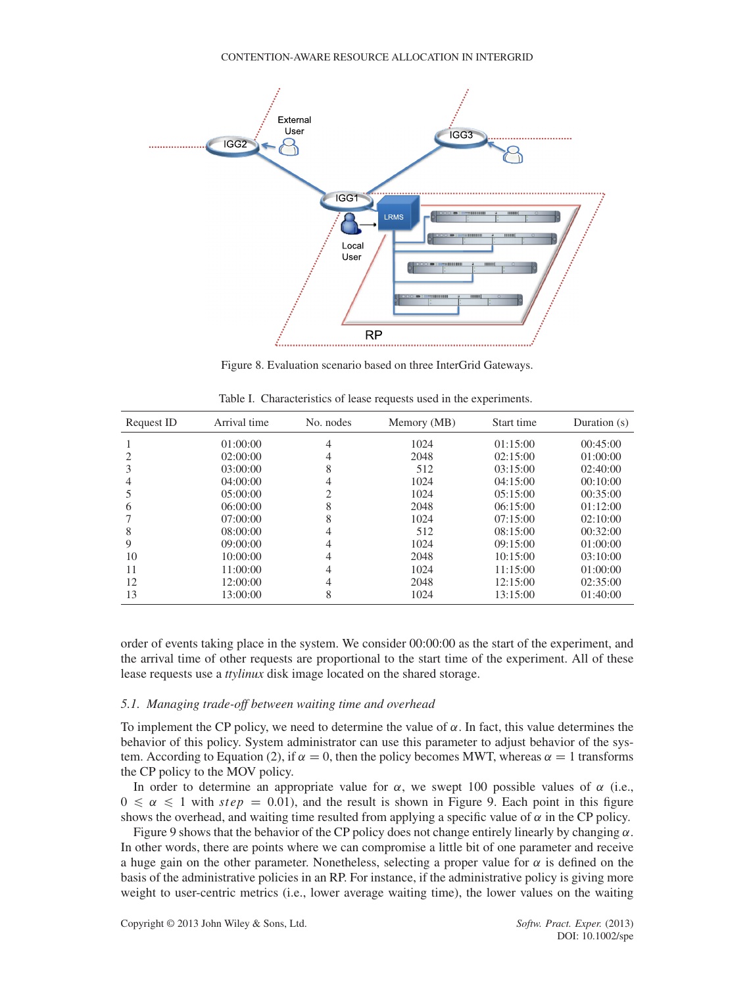

Figure 8. Evaluation scenario based on three InterGrid Gateways.

| Request ID | Arrival time | No. nodes | Memory (MB) | Start time | Duration $(s)$ |
|------------|--------------|-----------|-------------|------------|----------------|
|            | 01:00:00     | 4         | 1024        | 01:15:00   | 00:45:00       |
|            | 02:00:00     | 4         | 2048        | 02:15:00   | 01:00:00       |
|            | 03:00:00     | 8         | 512         | 03:15:00   | 02:40:00       |
| 4          | 04:00:00     | 4         | 1024        | 04:15:00   | 00:10:00       |
|            | 05:00:00     | 2         | 1024        | 05:15:00   | 00:35:00       |
| 6          | 06:00:00     | 8         | 2048        | 06:15:00   | 01:12:00       |
|            | 07:00:00     | 8         | 1024        | 07:15:00   | 02:10:00       |
| 8          | 08:00:00     | 4         | 512         | 08:15:00   | 00:32:00       |
| 9          | 09:00:00     | 4         | 1024        | 09:15:00   | 01:00:00       |
| 10         | 10:00:00     | 4         | 2048        | 10:15:00   | 03:10:00       |
| 11         | 11:00:00     | 4         | 1024        | 11:15:00   | 01:00:00       |
| 12         | 12:00:00     | 4         | 2048        | 12:15:00   | 02:35:00       |
| 13         | 13:00:00     | 8         | 1024        | 13:15:00   | 01:40:00       |

Table I. Characteristics of lease requests used in the experiments.

order of events taking place in the system. We consider 00:00:00 as the start of the experiment, and the arrival time of other requests are proportional to the start time of the experiment. All of these lease requests use a *ttylinux* disk image located on the shared storage.

# *5.1. Managing trade-off between waiting time and overhead*

To implement the CP policy, we need to determine the value of  $\alpha$ . In fact, this value determines the behavior of this policy. System administrator can use this parameter to adjust behavior of the system. According to Equation (2), if  $\alpha = 0$ , then the policy becomes MWT, whereas  $\alpha = 1$  transforms the CP policy to the MOV policy.

In order to determine an appropriate value for  $\alpha$ , we swept 100 possible values of  $\alpha$  (i.e.,  $0 \le \alpha \le 1$  with step = 0.01), and the result is shown in Figure 9. Each point in this figure shows the overhead, and waiting time resulted from applying a specific value of  $\alpha$  in the CP policy.

Figure 9 shows that the behavior of the CP policy does not change entirely linearly by changing  $\alpha$ . In other words, there are points where we can compromise a little bit of one parameter and receive a huge gain on the other parameter. Nonetheless, selecting a proper value for  $\alpha$  is defined on the basis of the administrative policies in an RP. For instance, if the administrative policy is giving more weight to user-centric metrics (i.e., lower average waiting time), the lower values on the waiting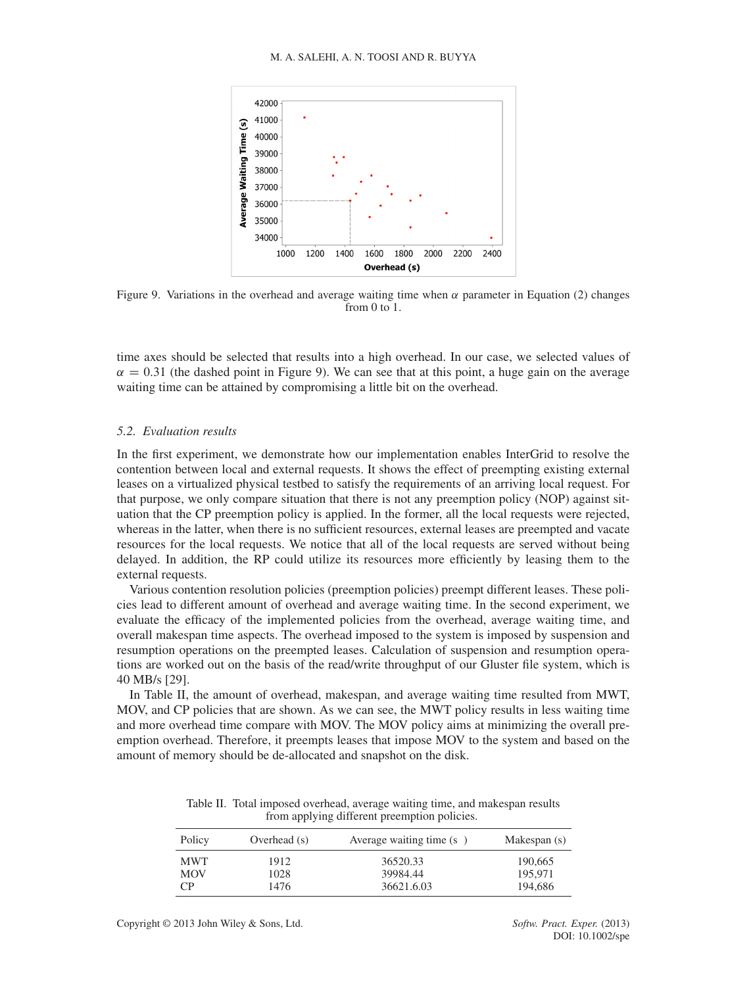

Figure 9. Variations in the overhead and average waiting time when  $\alpha$  parameter in Equation (2) changes from  $0$  to  $1$ .

time axes should be selected that results into a high overhead. In our case, we selected values of  $\alpha = 0.31$  (the dashed point in Figure 9). We can see that at this point, a huge gain on the average waiting time can be attained by compromising a little bit on the overhead.

# *5.2. Evaluation results*

In the first experiment, we demonstrate how our implementation enables InterGrid to resolve the contention between local and external requests. It shows the effect of preempting existing external leases on a virtualized physical testbed to satisfy the requirements of an arriving local request. For that purpose, we only compare situation that there is not any preemption policy (NOP) against situation that the CP preemption policy is applied. In the former, all the local requests were rejected, whereas in the latter, when there is no sufficient resources, external leases are preempted and vacate resources for the local requests. We notice that all of the local requests are served without being delayed. In addition, the RP could utilize its resources more efficiently by leasing them to the external requests.

Various contention resolution policies (preemption policies) preempt different leases. These policies lead to different amount of overhead and average waiting time. In the second experiment, we evaluate the efficacy of the implemented policies from the overhead, average waiting time, and overall makespan time aspects. The overhead imposed to the system is imposed by suspension and resumption operations on the preempted leases. Calculation of suspension and resumption operations are worked out on the basis of the read/write throughput of our Gluster file system, which is 40 MB/s [29].

In Table II, the amount of overhead, makespan, and average waiting time resulted from MWT, MOV, and CP policies that are shown. As we can see, the MWT policy results in less waiting time and more overhead time compare with MOV. The MOV policy aims at minimizing the overall preemption overhead. Therefore, it preempts leases that impose MOV to the system and based on the amount of memory should be de-allocated and snapshot on the disk.

| Policy     | Overhead $(s)$ | Average waiting time (s) | Makespan (s) |  |  |
|------------|----------------|--------------------------|--------------|--|--|
| <b>MWT</b> | 1912           | 36520.33                 | 190,665      |  |  |
| <b>MOV</b> | 1028           | 39984.44                 | 195,971      |  |  |
| $\Gamma$   | 1476           | 36621.6.03               | 194,686      |  |  |

Table II. Total imposed overhead, average waiting time, and makespan results from applying different preemption policies.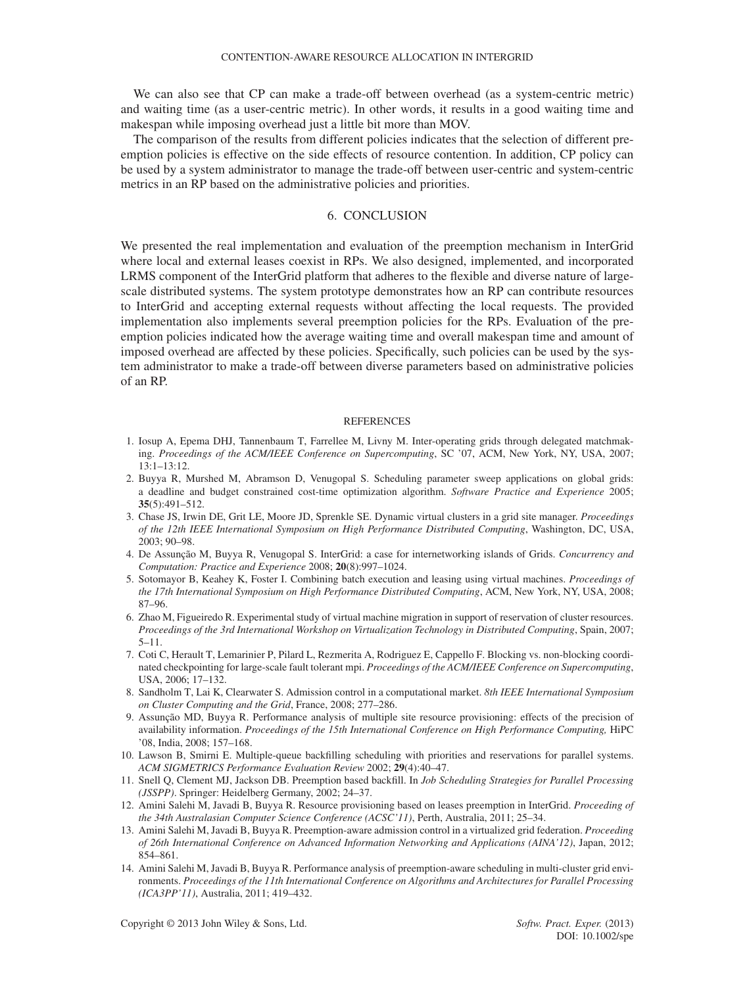### CONTENTION-AWARE RESOURCE ALLOCATION IN INTERGRID

We can also see that CP can make a trade-off between overhead (as a system-centric metric) and waiting time (as a user-centric metric). In other words, it results in a good waiting time and makespan while imposing overhead just a little bit more than MOV.

The comparison of the results from different policies indicates that the selection of different preemption policies is effective on the side effects of resource contention. In addition, CP policy can be used by a system administrator to manage the trade-off between user-centric and system-centric metrics in an RP based on the administrative policies and priorities.

# 6. CONCLUSION

We presented the real implementation and evaluation of the preemption mechanism in InterGrid where local and external leases coexist in RPs. We also designed, implemented, and incorporated LRMS component of the InterGrid platform that adheres to the flexible and diverse nature of largescale distributed systems. The system prototype demonstrates how an RP can contribute resources to InterGrid and accepting external requests without affecting the local requests. The provided implementation also implements several preemption policies for the RPs. Evaluation of the preemption policies indicated how the average waiting time and overall makespan time and amount of imposed overhead are affected by these policies. Specifically, such policies can be used by the system administrator to make a trade-off between diverse parameters based on administrative policies of an RP.

#### REFERENCES

- 1. Iosup A, Epema DHJ, Tannenbaum T, Farrellee M, Livny M. Inter-operating grids through delegated matchmaking. *Proceedings of the ACM/IEEE Conference on Supercomputing*, SC '07, ACM, New York, NY, USA, 2007; 13:1–13:12.
- 2. Buyya R, Murshed M, Abramson D, Venugopal S. Scheduling parameter sweep applications on global grids: a deadline and budget constrained cost-time optimization algorithm. *Software Practice and Experience* 2005; **35**(5):491–512.
- 3. Chase JS, Irwin DE, Grit LE, Moore JD, Sprenkle SE. Dynamic virtual clusters in a grid site manager. *Proceedings of the 12th IEEE International Symposium on High Performance Distributed Computing*, Washington, DC, USA, 2003; 90–98.
- 4. De Assunção M, Buyya R, Venugopal S. InterGrid: a case for internetworking islands of Grids. *Concurrency and Computation: Practice and Experience* 2008; **20**(8):997–1024.
- 5. Sotomayor B, Keahey K, Foster I. Combining batch execution and leasing using virtual machines. *Proceedings of the 17th International Symposium on High Performance Distributed Computing*, ACM, New York, NY, USA, 2008; 87–96.
- 6. Zhao M, Figueiredo R. Experimental study of virtual machine migration in support of reservation of cluster resources. *Proceedings of the 3rd International Workshop on Virtualization Technology in Distributed Computing*, Spain, 2007; 5–11.
- 7. Coti C, Herault T, Lemarinier P, Pilard L, Rezmerita A, Rodriguez E, Cappello F. Blocking vs. non-blocking coordinated checkpointing for large-scale fault tolerant mpi. *Proceedings of the ACM/IEEE Conference on Supercomputing*, USA, 2006; 17–132.
- 8. Sandholm T, Lai K, Clearwater S. Admission control in a computational market. *8th IEEE International Symposium on Cluster Computing and the Grid*, France, 2008; 277–286.
- 9. Assunção MD, Buyya R. Performance analysis of multiple site resource provisioning: effects of the precision of availability information. *Proceedings of the 15th International Conference on High Performance Computing,* HiPC '08, India, 2008; 157–168.
- 10. Lawson B, Smirni E. Multiple-queue backfilling scheduling with priorities and reservations for parallel systems. *ACM SIGMETRICS Performance Evaluation Review* 2002; **29**(4):40–47.
- 11. Snell Q, Clement MJ, Jackson DB. Preemption based backfill. In *Job Scheduling Strategies for Parallel Processing (JSSPP)*. Springer: Heidelberg Germany, 2002; 24–37.
- 12. Amini Salehi M, Javadi B, Buyya R. Resource provisioning based on leases preemption in InterGrid. *Proceeding of the 34th Australasian Computer Science Conference (ACSC'11)*, Perth, Australia, 2011; 25–34.
- 13. Amini Salehi M, Javadi B, Buyya R. Preemption-aware admission control in a virtualized grid federation. *Proceeding of 26th International Conference on Advanced Information Networking and Applications (AINA'12)*, Japan, 2012; 854–861.
- 14. Amini Salehi M, Javadi B, Buyya R. Performance analysis of preemption-aware scheduling in multi-cluster grid environments. *Proceedings of the 11th International Conference on Algorithms and Architectures for Parallel Processing (ICA3PP'11)*, Australia, 2011; 419–432.